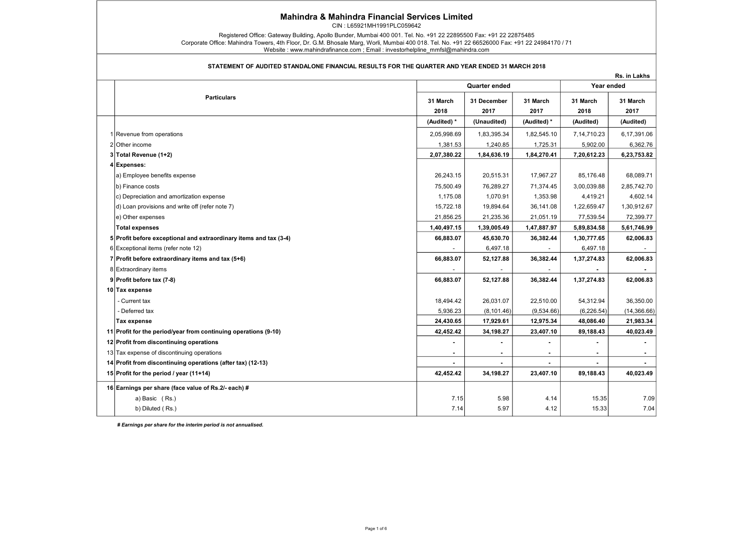## Mahindra & Mahindra Financial Services Limited

CIN : L65921MH1991PLC059642

Registered Office: Gateway Building, Apollo Bunder, Mumbai 400 001. Tel. No. +91 22 22895500 Fax: +91 22 22875485 Corporate Office: Mahindra Towers, 4th Floor, Dr. G.M. Bhosale Marg, Worli, Mumbai 400 018. Tel. No. +91 22 66526000 Fax: +91 22 24984170 / 71 Website : www.mahindrafinance.com ; Email : investorhelpline\_mmfsl@mahindra.com

| STATEMENT OF AUDITED STANDALONE FINANCIAL RESULTS FOR THE QUARTER AND YEAR ENDED 31 MARCH 2018 |                  |                     |                  |                  | Rs. in Lakhs     |  |
|------------------------------------------------------------------------------------------------|------------------|---------------------|------------------|------------------|------------------|--|
|                                                                                                |                  | Quarter ended       |                  | Year ended       |                  |  |
| <b>Particulars</b>                                                                             | 31 March<br>2018 | 31 December<br>2017 | 31 March<br>2017 | 31 March<br>2018 | 31 March<br>2017 |  |
|                                                                                                | (Audited) *      | (Unaudited)         | (Audited) *      | (Audited)        | (Audited)        |  |
| 1 Revenue from operations                                                                      | 2,05,998.69      | 1,83,395.34         | 1,82,545.10      | 7,14,710.23      | 6,17,391.06      |  |
| 2 Other income                                                                                 | 1,381.53         | 1,240.85            | 1,725.31         | 5,902.00         | 6,362.76         |  |
| 3 Total Revenue (1+2)                                                                          | 2,07,380.22      | 1,84,636.19         | 1,84,270.41      | 7,20,612.23      | 6,23,753.82      |  |
| 4 Expenses:                                                                                    |                  |                     |                  |                  |                  |  |
| a) Employee benefits expense                                                                   | 26,243.15        | 20,515.31           | 17,967.27        | 85,176.48        | 68,089.71        |  |
| b) Finance costs                                                                               | 75,500.49        | 76,289.27           | 71,374.45        | 3,00,039.88      | 2,85,742.70      |  |
| c) Depreciation and amortization expense                                                       | 1,175.08         | 1,070.91            | 1,353.98         | 4,419.21         | 4,602.14         |  |
| d) Loan provisions and write off (refer note 7)                                                | 15,722.18        | 19,894.64           | 36,141.08        | 1,22,659.47      | 1,30,912.67      |  |
| e) Other expenses                                                                              | 21,856.25        | 21,235.36           | 21,051.19        | 77,539.54        | 72,399.77        |  |
| <b>Total expenses</b>                                                                          | 1,40,497.15      | 1,39,005.49         | 1,47,887.97      | 5,89,834.58      | 5,61,746.99      |  |
| 5 Profit before exceptional and extraordinary items and tax (3-4)                              | 66,883.07        | 45,630.70           | 36,382.44        | 1,30,777.65      | 62,006.83        |  |
| 6 Exceptional items (refer note 12)                                                            |                  | 6,497.18            |                  | 6,497.18         |                  |  |
| 7 Profit before extraordinary items and tax $(5+6)$                                            | 66,883.07        | 52,127.88           | 36,382.44        | 1,37,274.83      | 62,006.83        |  |
| 8 Extraordinary items                                                                          |                  |                     |                  |                  |                  |  |
| $9$ Profit before tax (7-8)                                                                    | 66,883.07        | 52,127.88           | 36,382.44        | 1,37,274.83      | 62,006.83        |  |
| 10 Tax expense                                                                                 |                  |                     |                  |                  |                  |  |
| - Current tax                                                                                  | 18,494.42        | 26,031.07           | 22,510.00        | 54,312.94        | 36,350.00        |  |
| - Deferred tax                                                                                 | 5,936.23         | (8, 101.46)         | (9,534.66)       | (6, 226.54)      | (14, 366.66)     |  |
| Tax expense                                                                                    | 24,430.65        | 17,929.61           | 12,975.34        | 48,086.40        | 21,983.34        |  |
| 11 Profit for the period/year from continuing operations (9-10)                                | 42,452.42        | 34,198.27           | 23,407.10        | 89,188.43        | 40,023.49        |  |
| 12 Profit from discontinuing operations                                                        |                  |                     |                  |                  |                  |  |
| 13 Tax expense of discontinuing operations                                                     |                  |                     |                  |                  |                  |  |
| 14 Profit from discontinuing operations (after tax) (12-13)                                    |                  | ٠                   | ٠                |                  |                  |  |
| 15 Profit for the period / year (11+14)                                                        | 42,452.42        | 34,198.27           | 23,407.10        | 89,188.43        | 40,023.49        |  |
| 16 Earnings per share (face value of Rs.2/- each) #                                            |                  |                     |                  |                  |                  |  |

# Earnings per share for the interim period is not annualised.

a) Basic (Rs.) 7.15 5.98 4.14 15.35 7.09 b) Diluted ( Rs.) 7.14 5.97 4.12 15.33 7.04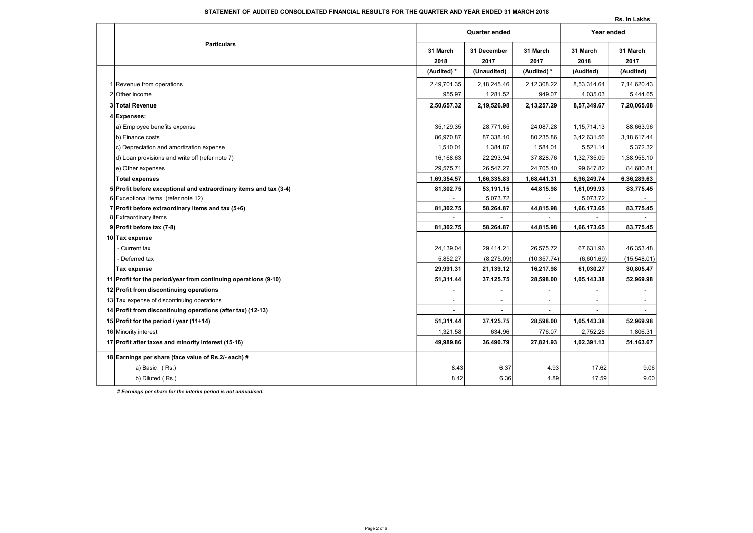Rs. in Lakhs

|    |                                                                   |                  | Quarter ended            |                          |                  | Year ended       |  |  |
|----|-------------------------------------------------------------------|------------------|--------------------------|--------------------------|------------------|------------------|--|--|
|    | <b>Particulars</b>                                                | 31 March<br>2018 | 31 December<br>2017      | 31 March<br>2017         | 31 March<br>2018 | 31 March<br>2017 |  |  |
|    |                                                                   | (Audited) *      | (Unaudited)              | (Audited) *              | (Audited)        | (Audited)        |  |  |
|    | 1 Revenue from operations                                         | 2,49,701.35      | 2,18,245.46              | 2,12,308.22              | 8,53,314.64      | 7,14,620.43      |  |  |
|    | 2 Other income                                                    | 955.97           | 1,281.52                 | 949.07                   | 4,035.03         | 5,444.65         |  |  |
|    | 3 Total Revenue                                                   | 2,50,657.32      | 2,19,526.98              | 2,13,257.29              | 8,57,349.67      | 7,20,065.08      |  |  |
|    | 4 Expenses:                                                       |                  |                          |                          |                  |                  |  |  |
|    | a) Employee benefits expense                                      | 35,129.35        | 28,771.65                | 24,087.28                | 1, 15, 714. 13   | 88,663.96        |  |  |
|    | b) Finance costs                                                  | 86,970.87        | 87,338.10                | 80,235.86                | 3,42,631.56      | 3,18,617.44      |  |  |
|    | c) Depreciation and amortization expense                          | 1,510.01         | 1,384.87                 | 1,584.01                 | 5,521.14         | 5,372.32         |  |  |
|    | d) Loan provisions and write off (refer note 7)                   | 16,168.63        | 22,293.94                | 37,828.76                | 1,32,735.09      | 1,38,955.10      |  |  |
|    | e) Other expenses                                                 | 29,575.71        | 26,547.27                | 24,705.40                | 99,647.82        | 84,680.81        |  |  |
|    | <b>Total expenses</b>                                             | 1,69,354.57      | 1,66,335.83              | 1,68,441.31              | 6,96,249.74      | 6,36,289.63      |  |  |
|    | 5 Profit before exceptional and extraordinary items and tax (3-4) | 81,302.75        | 53,191.15                | 44,815.98                | 1,61,099.93      | 83,775.45        |  |  |
| 61 | Exceptional items (refer note 12)                                 |                  | 5,073.72                 |                          | 5,073.72         |                  |  |  |
|    | 7 Profit before extraordinary items and tax (5+6)                 | 81,302.75        | 58,264.87                | 44,815.98                | 1,66,173.65      | 83,775.45        |  |  |
|    | 8 Extraordinary items                                             |                  | $\overline{\phantom{a}}$ | $\overline{\phantom{a}}$ | $\sim$           |                  |  |  |
|    | $9$ Profit before tax (7-8)                                       | 81,302.75        | 58,264.87                | 44,815.98                | 1,66,173.65      | 83,775.45        |  |  |
|    | 10 Tax expense                                                    |                  |                          |                          |                  |                  |  |  |
|    | - Current tax                                                     | 24,139.04        | 29,414.21                | 26,575.72                | 67,631.96        | 46,353.48        |  |  |
|    | - Deferred tax                                                    | 5,852.27         | (8,275.09)               | (10, 357.74)             | (6,601.69)       | (15,548.01)      |  |  |
|    | Tax expense                                                       | 29,991.31        | 21,139.12                | 16,217.98                | 61,030.27        | 30,805.47        |  |  |
|    | 11 Profit for the period/year from continuing operations (9-10)   | 51,311.44        | 37,125.75                | 28,598.00                | 1,05,143.38      | 52,969.98        |  |  |
|    | 12 Profit from discontinuing operations                           |                  | $\overline{\phantom{a}}$ |                          |                  |                  |  |  |
|    | 13 Tax expense of discontinuing operations                        |                  |                          |                          |                  |                  |  |  |
|    | 14 Profit from discontinuing operations (after tax) (12-13)       |                  |                          |                          |                  |                  |  |  |
|    | 15 Profit for the period / year (11+14)                           | 51,311.44        | 37,125.75                | 28,598.00                | 1,05,143.38      | 52,969.98        |  |  |
|    | 16 Minority interest                                              | 1,321.58         | 634.96                   | 776.07                   | 2,752.25         | 1,806.31         |  |  |
|    | 17 Profit after taxes and minority interest (15-16)               | 49,989.86        | 36,490.79                | 27,821.93                | 1,02,391.13      | 51,163.67        |  |  |
|    | 18 Earnings per share (face value of Rs.2/- each) #               |                  |                          |                          |                  |                  |  |  |
|    | a) Basic (Rs.)                                                    | 8.43             | 6.37                     | 4.93                     | 17.62            | 9.06             |  |  |
|    | b) Diluted (Rs.)                                                  | 8.42             | 6.36                     | 4.89                     | 17.59            | 9.00             |  |  |
|    |                                                                   |                  |                          |                          |                  |                  |  |  |

# Earnings per share for the interim period is not annualised.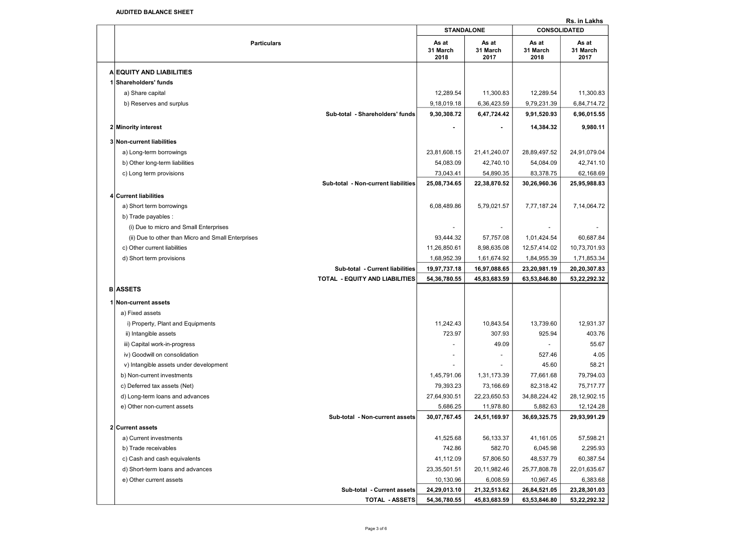|                                                             | Rs. in Lakhs              |                           |                           |                           |  |  |
|-------------------------------------------------------------|---------------------------|---------------------------|---------------------------|---------------------------|--|--|
|                                                             | <b>STANDALONE</b>         |                           | <b>CONSOLIDATED</b>       |                           |  |  |
| <b>Particulars</b>                                          | As at<br>31 March<br>2018 | As at<br>31 March<br>2017 | As at<br>31 March<br>2018 | As at<br>31 March<br>2017 |  |  |
| A EQUITY AND LIABILITIES                                    |                           |                           |                           |                           |  |  |
| 1 Shareholders' funds                                       |                           |                           |                           |                           |  |  |
| a) Share capital                                            | 12,289.54                 | 11,300.83                 | 12,289.54                 | 11,300.83                 |  |  |
| b) Reserves and surplus                                     | 9,18,019.18               | 6,36,423.59               | 9,79,231.39               | 6,84,714.72               |  |  |
| Sub-total - Shareholders' funds                             | 9,30,308.72               | 6,47,724.42               | 9,91,520.93               | 6,96,015.55               |  |  |
| 2 Minority interest                                         |                           |                           | 14,384.32                 | 9,980.11                  |  |  |
| 3 Non-current liabilities                                   |                           |                           |                           |                           |  |  |
| a) Long-term borrowings                                     | 23,81,608.15              | 21,41,240.07              | 28,89,497.52              | 24,91,079.04              |  |  |
| b) Other long-term liabilities                              | 54,083.09                 | 42,740.10                 | 54,084.09                 | 42,741.10                 |  |  |
| c) Long term provisions                                     | 73,043.41                 | 54,890.35                 | 83,378.75                 | 62,168.69                 |  |  |
| Sub-total - Non-current liabilities                         | 25,08,734.65              | 22,38,870.52              | 30,26,960.36              | 25,95,988.83              |  |  |
| 4 Current liabilities                                       |                           |                           |                           |                           |  |  |
| a) Short term borrowings                                    | 6,08,489.86               | 5,79,021.57               | 7,77,187.24               | 7,14,064.72               |  |  |
| b) Trade payables :                                         |                           |                           |                           |                           |  |  |
| (i) Due to micro and Small Enterprises                      |                           |                           |                           |                           |  |  |
| (ii) Due to other than Micro and Small Enterprises          | 93,444.32                 | 57,757.08                 | 1,01,424.54               | 60,687.84                 |  |  |
| c) Other current liabilities                                | 11,26,850.61              | 8,98,635.08               | 12,57,414.02              | 10,73,701.93              |  |  |
| d) Short term provisions                                    | 1,68,952.39               | 1,61,674.92               | 1,84,955.39               | 1,71,853.34               |  |  |
| Sub-total - Current liabilities                             | 19,97,737.18              | 16,97,088.65              | 23,20,981.19              | 20,20,307.83              |  |  |
| TOTAL - EQUITY AND LIABILITIES                              | 54,36,780.55              | 45,83,683.59              | 63,53,846.80              | 53,22,292.32              |  |  |
| <b>B</b> ASSETS                                             |                           |                           |                           |                           |  |  |
| 1 Non-current assets                                        |                           |                           |                           |                           |  |  |
| a) Fixed assets                                             |                           |                           |                           |                           |  |  |
| i) Property, Plant and Equipments                           | 11,242.43                 | 10,843.54                 | 13,739.60                 | 12,931.37                 |  |  |
| ii) Intangible assets                                       | 723.97                    | 307.93                    | 925.94                    | 403.76                    |  |  |
| iii) Capital work-in-progress                               |                           | 49.09                     |                           | 55.67                     |  |  |
| iv) Goodwill on consolidation                               |                           |                           | 527.46                    | 4.05                      |  |  |
| v) Intangible assets under development                      |                           |                           | 45.60                     | 58.21                     |  |  |
| b) Non-current investments                                  | 1,45,791.06               | 1,31,173.39               | 77,661.68                 | 79,794.03                 |  |  |
| c) Deferred tax assets (Net)                                | 79,393.23                 | 73,166.69                 | 82,318.42                 | 75,717.77                 |  |  |
| d) Long-term loans and advances                             | 27,64,930.51              | 22,23,650.53              | 34,88,224.42              | 28,12,902.15              |  |  |
| e) Other non-current assets                                 | 5,686.25                  | 11,978.80                 | 5,882.63                  | 12,124.28                 |  |  |
| Sub-total - Non-current assets                              | 30,07,767.45              | 24,51,169.97              | 36,69,325.75              | 29,93,991.29              |  |  |
| 2 Current assets                                            |                           |                           |                           |                           |  |  |
| a) Current investments                                      | 41,525.68                 | 56,133.37                 | 41,161.05<br>6,045.98     | 57,598.21                 |  |  |
| b) Trade receivables                                        | 742.86                    | 582.70                    |                           | 2,295.93                  |  |  |
| c) Cash and cash equivalents                                | 41,112.09                 | 57,806.50                 | 48,537.79                 | 60,387.54                 |  |  |
| d) Short-term loans and advances<br>e) Other current assets | 23,35,501.51<br>10,130.96 | 20,11,982.46<br>6,008.59  | 25,77,808.78<br>10,967.45 | 22,01,635.67<br>6,383.68  |  |  |
| Sub-total - Current assets                                  | 24,29,013.10              | 21,32,513.62              | 26,84,521.05              | 23,28,301.03              |  |  |
| TOTAL - ASSETS                                              | 54, 36, 780. 55           | 45,83,683.59              | 63,53,846.80              | 53,22,292.32              |  |  |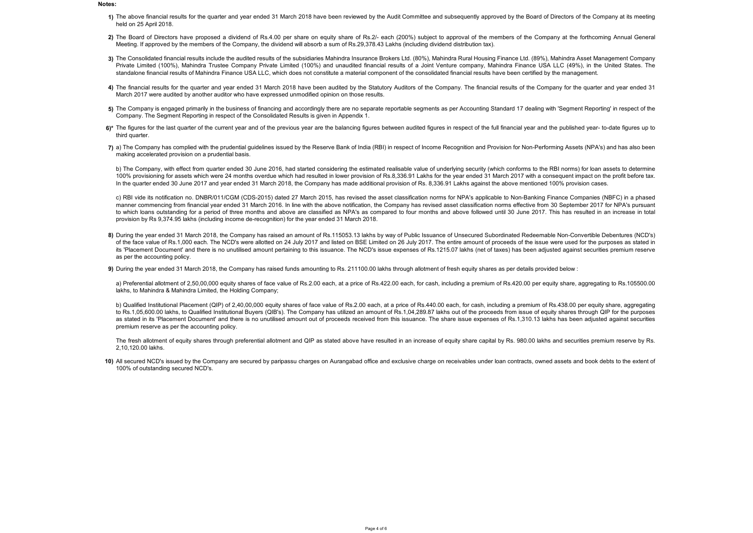## Notes:

- 1) The above financial results for the quarter and year ended 31 March 2018 have been reviewed by the Audit Committee and subsequently approved by the Board of Directors of the Company at its meeting held on 25 April 2018.
- 2) The Board of Directors have proposed a dividend of Rs.4.00 per share on equity share of Rs.2/- each (200%) subject to approval of the members of the Company at the forthcoming Annual General Meeting. If approved by the members of the Company, the dividend will absorb a sum of Rs.29,378.43 Lakhs (including dividend distribution tax).
- 3) The Consolidated financial results include the audited results of the subsidiaries Mahindra Insurance Brokers Ltd. (80%), Mahindra Rural Housing Finance Ltd. (89%), Mahindra Asset Management Company Private Limited (100%), Mahindra Trustee Company Private Limited (100%) and unaudited financial results of a Joint Venture company, Mahindra Finance USA LLC (49%), in the United States. The standalone financial results of Mahindra Finance USA LLC, which does not constitute a material component of the consolidated financial results have been certified by the management.
- 4) The financial results for the quarter and year ended 31 March 2018 have been audited by the Statutory Auditors of the Company. The financial results of the Company for the quarter and year ended 31 March 2017 were audited by another auditor who have expressed unmodified opinion on those results.
- 5) The Company is engaged primarily in the business of financing and accordingly there are no separate reportable segments as per Accounting Standard 17 dealing with 'Segment Reporting' in respect of the Company. The Segment Reporting in respect of the Consolidated Results is given in Appendix 1.
- 6)\* The figures for the last quarter of the current year and of the previous year are the balancing figures between audited figures in respect of the full financial year and the published year- to-date figures up to third quarter.
- 7) a) The Company has complied with the prudential guidelines issued by the Reserve Bank of India (RBI) in respect of Income Recognition and Provision for Non-Performing Assets (NPA's) and has also been making accelerated provision on a prudential basis.

b) The Company, with effect from quarter ended 30 June 2016, had started considering the estimated realisable value of underlying security (which conforms to the RBI norms) for loan assets to determine 100% provisioning for assets which were 24 months overdue which had resulted in lower provision of Rs.8,336.91 Lakhs for the year ended 31 March 2017 with a consequent impact on the profit before tax. In the quarter ended 30 June 2017 and year ended 31 March 2018, the Company has made additional provision of Rs. 8,336.91 Lakhs against the above mentioned 100% provision cases.

c) RBI vide its notification no. DNBR/011/CGM (CDS-2015) dated 27 March 2015, has revised the asset classification norms for NPA's applicable to Non-Banking Finance Companies (NBFC) in a phased manner commencing from financial year ended 31 March 2016. In line with the above notification, the Company has revised asset classification norms effective from 30 September 2017 for NPA's pursuant to which loans outstanding for a period of three months and above are classified as NPA's as compared to four months and above followed until 30 June 2017. This has resulted in an increase in total provision by Rs 9,374.95 lakhs (including income de-recognition) for the year ended 31 March 2018.

8) During the year ended 31 March 2018, the Company has raised an amount of Rs.115053.13 lakhs by way of Public Issuance of Unsecured Subordinated Redeemable Non-Convertible Debentures (NCD's) of the face value of Rs.1,000 each. The NCD's were allotted on 24 July 2017 and listed on BSE Limited on 26 July 2017. The entire amount of proceeds of the issue were used for the purposes as stated in its 'Placement Document' and there is no unutilised amount pertaining to this issuance. The NCD's issue expenses of Rs.1215.07 lakhs (net of taxes) has been adjusted against securities premium reserve as per the accounting policy.

9) During the year ended 31 March 2018, the Company has raised funds amounting to Rs. 211100.00 lakhs through allotment of fresh equity shares as per details provided below :

a) Preferential allotment of 2,50,00,000 equity shares of face value of Rs.2.00 each, at a price of Rs.422.00 each, for cash, including a premium of Rs.420.00 per equity share, aggregating to Rs.105500.00 lakhs, to Mahindra & Mahindra Limited, the Holding Company;

b) Qualified Institutional Placement (QIP) of 2,40,00,000 equity shares of face value of Rs.2.00 each, at a price of Rs.440.00 each, for cash, including a premium of Rs.438.00 per equity share, aggregating to Rs.1,05,600.00 lakhs, to Qualified Institutional Buyers (QIB's). The Company has utilized an amount of Rs.1,04,289.87 lakhs out of the proceeds from issue of equity shares through QIP for the purposes as stated in its 'Placement Document' and there is no unutilised amount out of proceeds received from this issuance. The share issue expenses of Rs.1,310.13 lakhs has been adjusted against securities premium reserve as per the accounting policy.

The fresh allotment of equity shares through preferential allotment and QIP as stated above have resulted in an increase of equity share capital by Rs. 980.00 lakhs and securities premium reserve by Rs. 2,10,120.00 lakhs.

10) All secured NCD's issued by the Company are secured by paripassu charges on Aurangabad office and exclusive charge on receivables under loan contracts, owned assets and book debts to the extent of 100% of outstanding secured NCD's.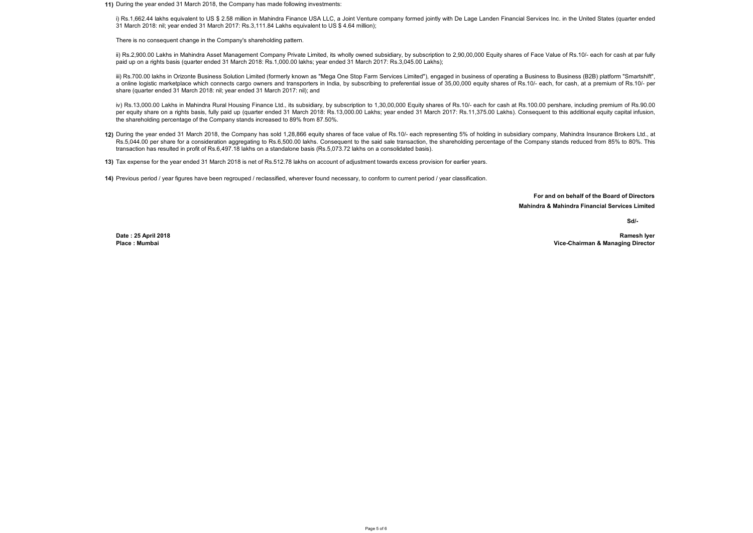11) During the year ended 31 March 2018, the Company has made following investments:

i) Rs.1,662.44 lakhs equivalent to US \$ 2.58 million in Mahindra Finance USA LLC, a Joint Venture company formed jointly with De Lage Landen Financial Services Inc. in the United States (quarter ended 31 March 2018: nil; year ended 31 March 2017: Rs.3,111.84 Lakhs equivalent to US \$ 4.64 million);

There is no consequent change in the Company's shareholding pattern.

ii) Rs.2,900.00 Lakhs in Mahindra Asset Management Company Private Limited, its wholly owned subsidiary, by subscription to 2,90,00,000 Equity shares of Face Value of Rs.10/- each for cash at par fully paid up on a rights basis (quarter ended 31 March 2018: Rs.1,000.00 lakhs; year ended 31 March 2017: Rs.3,045.00 Lakhs);

iii) Rs.700.00 lakhs in Orizonte Business Solution Limited (formerly known as "Mega One Stop Farm Services Limited"), engaged in business of operating a Business to Business (B2B) platform "Smartshift", a online logistic marketplace which connects cargo owners and transporters in India, by subscribing to preferential issue of 35,00,000 equity shares of Rs.10/- each, for cash, at a premium of Rs.10/- per share (quarter ended 31 March 2018: nil; year ended 31 March 2017: nil); and

iv) Rs.13,000.00 Lakhs in Mahindra Rural Housing Finance Ltd., its subsidiary, by subscription to 1,30,00,000 Equity shares of Rs.10/- each for cash at Rs.100.00 pershare, including premium of Rs.90.00 per equity share on a rights basis, fully paid up (quarter ended 31 March 2018: Rs.13,000.00 Lakhs; year ended 31 March 2017: Rs.11,375.00 Lakhs). Consequent to this additional equity capital infusion, the shareholding percentage of the Company stands increased to 89% from 87.50%.

- 12) During the year ended 31 March 2018, the Company has sold 1,28,866 equity shares of face value of Rs.10/- each representing 5% of holding in subsidiary company, Mahindra Insurance Brokers Ltd., at Rs.5,044,00 per share for a consideration aggregating to Rs.6,500.00 lakhs. Consequent to the said sale transaction, the shareholding percentage of the Company stands reduced from 85% to 80%. This transaction has resulted in profit of Rs.6,497.18 lakhs on a standalone basis (Rs.5,073.72 lakhs on a consolidated basis).
- 13) Tax expense for the year ended 31 March 2018 is net of Rs.512.78 lakhs on account of adjustment towards excess provision for earlier years.

14) Previous period / year figures have been regrouped / reclassified, wherever found necessary, to conform to current period / year classification.

For and on behalf of the Board of Directors Mahindra & Mahindra Financial Services Limited

Sd/-

Date : 25 April 2018 Place : Mumbai

Ramesh Iyer Vice-Chairman & Managing Director